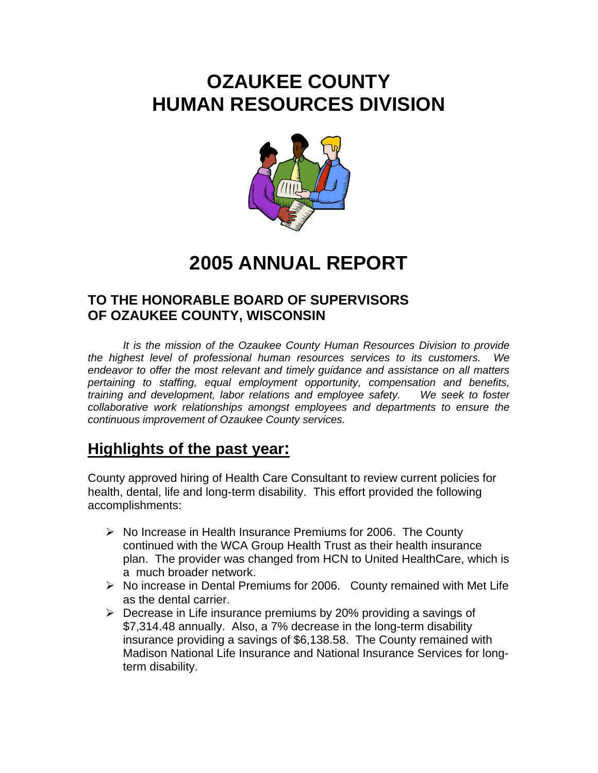## **OZAUKEE COUNTY HUMAN RESOURCES DIVISION**



# **2005 ANNUAL REPORT**

### **TO THE HONORABLE BOARD OF SUPERVISORS OF OZAUKEE COUNTY, WISCONSIN**

 *It is the mission of the Ozaukee County Human Resources Division to provide the highest level of professional human resources services to its customers. We endeavor to offer the most relevant and timely guidance and assistance on all matters pertaining to staffing, equal employment opportunity, compensation and benefits, training and development, labor relations and employee safety. We seek to foster collaborative work relationships amongst employees and departments to ensure the continuous improvement of Ozaukee County services.* 

## **Highlights of the past year:**

County approved hiring of Health Care Consultant to review current policies for health, dental, life and long-term disability. This effort provided the following accomplishments:

- ¾ No Increase in Health Insurance Premiums for 2006. The County continued with the WCA Group Health Trust as their health insurance plan. The provider was changed from HCN to United HealthCare, which is a much broader network.
- $\triangleright$  No increase in Dental Premiums for 2006. County remained with Met Life as the dental carrier.
- $\triangleright$  Decrease in Life insurance premiums by 20% providing a savings of \$7,314.48 annually. Also, a 7% decrease in the long-term disability insurance providing a savings of \$6,138.58. The County remained with Madison National Life Insurance and National Insurance Services for longterm disability.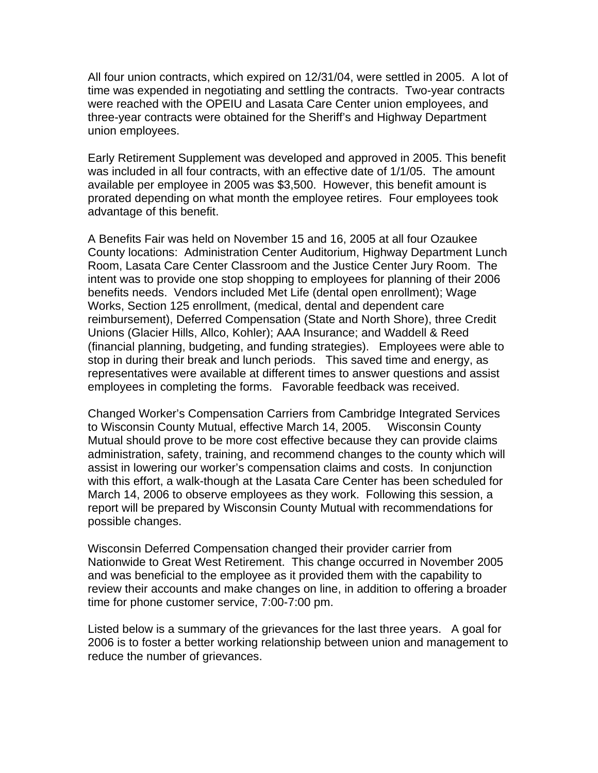All four union contracts, which expired on 12/31/04, were settled in 2005. A lot of time was expended in negotiating and settling the contracts. Two-year contracts were reached with the OPEIU and Lasata Care Center union employees, and three-year contracts were obtained for the Sheriff's and Highway Department union employees.

Early Retirement Supplement was developed and approved in 2005. This benefit was included in all four contracts, with an effective date of 1/1/05. The amount available per employee in 2005 was \$3,500. However, this benefit amount is prorated depending on what month the employee retires. Four employees took advantage of this benefit.

A Benefits Fair was held on November 15 and 16, 2005 at all four Ozaukee County locations: Administration Center Auditorium, Highway Department Lunch Room, Lasata Care Center Classroom and the Justice Center Jury Room. The intent was to provide one stop shopping to employees for planning of their 2006 benefits needs. Vendors included Met Life (dental open enrollment); Wage Works, Section 125 enrollment, (medical, dental and dependent care reimbursement), Deferred Compensation (State and North Shore), three Credit Unions (Glacier Hills, Allco, Kohler); AAA Insurance; and Waddell & Reed (financial planning, budgeting, and funding strategies). Employees were able to stop in during their break and lunch periods. This saved time and energy, as representatives were available at different times to answer questions and assist employees in completing the forms. Favorable feedback was received.

Changed Worker's Compensation Carriers from Cambridge Integrated Services to Wisconsin County Mutual, effective March 14, 2005. Wisconsin County Mutual should prove to be more cost effective because they can provide claims administration, safety, training, and recommend changes to the county which will assist in lowering our worker's compensation claims and costs. In conjunction with this effort, a walk-though at the Lasata Care Center has been scheduled for March 14, 2006 to observe employees as they work. Following this session, a report will be prepared by Wisconsin County Mutual with recommendations for possible changes.

Wisconsin Deferred Compensation changed their provider carrier from Nationwide to Great West Retirement. This change occurred in November 2005 and was beneficial to the employee as it provided them with the capability to review their accounts and make changes on line, in addition to offering a broader time for phone customer service, 7:00-7:00 pm.

Listed below is a summary of the grievances for the last three years. A goal for 2006 is to foster a better working relationship between union and management to reduce the number of grievances.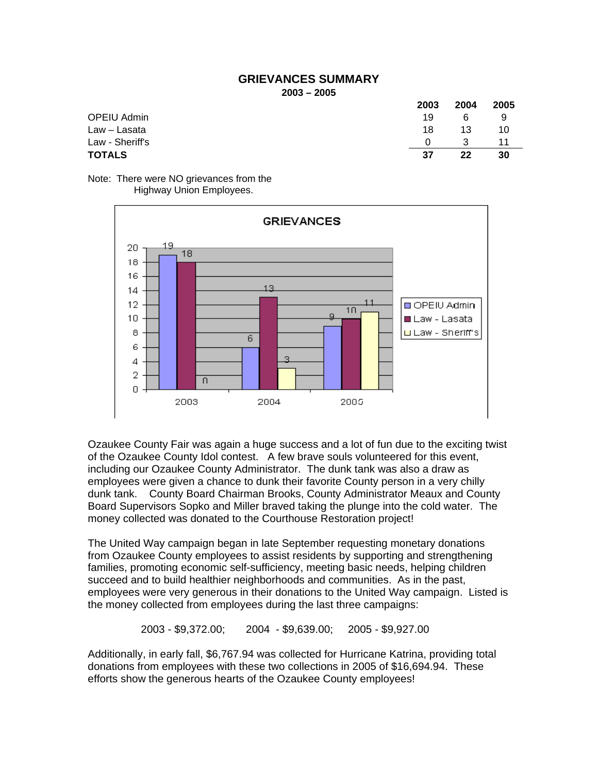#### **GRIEVANCES SUMMARY 2003 – 2005**

|                 | 2003     | 2004 | 2005 |
|-----------------|----------|------|------|
| OPEIU Admin     | 19       | -6   | 9    |
| Law – Lasata    | 18       | 13   | 10   |
| Law - Sheriff's | $\Omega$ | -3   | 11   |
| TOTALS          | 37       | 22   | 30   |

Note: There were NO grievances from the Highway Union Employees.



Ozaukee County Fair was again a huge success and a lot of fun due to the exciting twist of the Ozaukee County Idol contest. A few brave souls volunteered for this event, including our Ozaukee County Administrator. The dunk tank was also a draw as employees were given a chance to dunk their favorite County person in a very chilly dunk tank. County Board Chairman Brooks, County Administrator Meaux and County Board Supervisors Sopko and Miller braved taking the plunge into the cold water. The money collected was donated to the Courthouse Restoration project!

The United Way campaign began in late September requesting monetary donations from Ozaukee County employees to assist residents by supporting and strengthening families, promoting economic self-sufficiency, meeting basic needs, helping children succeed and to build healthier neighborhoods and communities. As in the past, employees were very generous in their donations to the United Way campaign. Listed is the money collected from employees during the last three campaigns:

2003 - \$9,372.00; 2004 - \$9,639.00; 2005 - \$9,927.00

Additionally, in early fall, \$6,767.94 was collected for Hurricane Katrina, providing total donations from employees with these two collections in 2005 of \$16,694.94. These efforts show the generous hearts of the Ozaukee County employees!